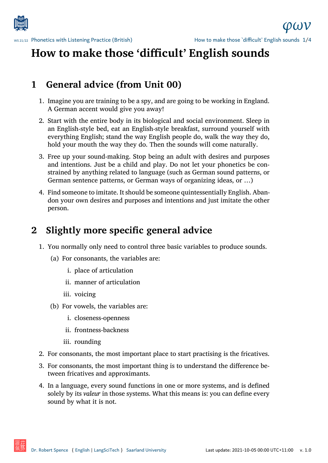

# **How to make those 'difficult' English sounds**

### **1 General advice (from Unit 00)**

- 1. Imagine you are training to be a spy, and are going to be working in England. A German accent would give you away!
- 2. Start with the entire body in its biological and social environment. Sleep in an English-style bed, eat an English-style breakfast, surround yourself with everything English; stand the way English people do, walk the way they do, hold your mouth the way they do. Then the sounds will come naturally.
- 3. Free up your sound-making. Stop being an adult with desires and purposes and intentions. Just be a child and play. Do not let your phonetics be constrained by anything related to language (such as German sound patterns, or German sentence patterns, or German ways of organizing ideas, or …)
- 4. Find someone to imitate. It should be someone quintessentially English. Abandon your own desires and purposes and intentions and just imitate the other person.

### **2 Slightly more specific general advice**

- 1. You normally only need to control three basic variables to produce sounds.
	- (a) For consonants, the variables are:
		- i. place of articulation
		- ii. manner of articulation
		- iii. voicing
	- (b) For vowels, the variables are:
		- i. closeness-openness
		- ii. frontness-backness
		- iii. rounding
- 2. For consonants, the most important place to start practising is the fricatives.
- 3. For consonants, the most important thing is to understand the difference between fricatives and approximants.
- 4. In a language, every sound functions in one or more systems, and is defined solely by its *valeur* in those systems. What this means is: you can define every sound by what it is not.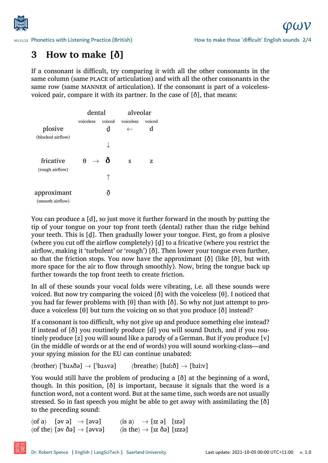

### **3 How to make [ð]**

[If a consonant is difficult, try com](http://www.spence.saar.de/courses/phoneticswithlistening/)paring it with all the other consonants in the same column (same PLACE of articulation) and with all the other consonants in the same row (same MANNER of articulation). If the consonant is part of a voicelessvoiced pair, compare it with its partner. In the case of [ð], that means:

|                                 | dental                      |             | alveolar                  |             |
|---------------------------------|-----------------------------|-------------|---------------------------|-------------|
| plosive                         | voiceless                   | voiced<br>d | voiceless<br>$\leftarrow$ | voiced<br>d |
| (blocked airflow)               |                             |             |                           |             |
| fricative<br>(rough airflow)    | $\theta$ .<br>$\rightarrow$ | ð           | S                         | 7.          |
|                                 |                             |             |                           |             |
| approximant<br>(smooth airflow) |                             |             |                           |             |

You can produce a [d], so just move it further forward in the mouth by putting the tip of your tongue on your top front teeth (dental) rather than the ridge behind your teeth. This is [d̪]. Then gradually lower your tongue. First, go from a plosive (where you cut off the airflow completely) [d̪] to a fricative (where you restrict the airflow, making it 'turbulent' or 'rough') [ð]. Then lower your tongue even further, so that the friction stops. You now have the approximant [ $\delta$ ] (like [ $\delta$ ], but with more space for the air to flow through smoothly). Now, bring the tongue back up further towards the top front teeth to create friction.

In all of these sounds your vocal folds were vibrating, i.e. all these sounds were voiced. But now try comparing the voiced [ð] with the voiceless [θ]. I noticed that you had far fewer problems with [θ] than with [ð]. So why not just attempt to produce a voiceless [θ] but turn the voicing on so that you produce [ð] instead?

If a consonant is too difficult, why not give up and produce something else instead? If instead of [ð] you routinely produce [d] you will sound Dutch, and if you routinely produce [z] you will sound like a parody of a German. But if you produce [v] (in the middle of words or at the end of words) you will sound working-class—and your spying mission for the EU can continue unabated:

⟨brother⟩ [ˈbɹʌðə] *→* [ˈbɹʌvə] ⟨breathe⟩ [bɹiːð] *→* [bɹiːv]

You would still have the problem of producing a [ð] at the beginning of a word, though. In this position, [ð] is important, because it signals that the word is a function word, not a content word. But at the same time, such words are not usually stressed. So in fast speech you might be able to get away with assimilating the [ð] to the preceding sound:

```
⟨of a⟩ [əv ə] → [əvə] ⟨is a⟩ → [ɪz ə] [ɪzə]
⟨of the⟩ [əv ðə] → [əvvə] ⟨is the⟩ → [ɪz ðə] [ɪzzə]
```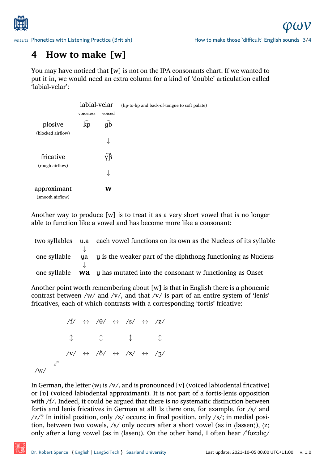

## **4 How to make [w]**

[You may have noticed that \[w\] is n](http://www.spence.saar.de/courses/phoneticswithlistening/)ot on the IPA consonants chart. If we wanted to put it in, we would need an extra column for a kind of 'double' articulation called 'labial-velar':

|                                 | labial-velar |        | (lip-to-lip and back-of-tongue to soft palate) |
|---------------------------------|--------------|--------|------------------------------------------------|
|                                 | voiceless    | voiced |                                                |
| plosive<br>(blocked airflow)    | kp           | дЪ     |                                                |
|                                 |              |        |                                                |
| fricative                       |              | yβ     |                                                |
| (rough airflow)                 |              |        |                                                |
| approximant<br>(smooth airflow) |              | w      |                                                |

Another way to produce [w] is to treat it as a very short vowel that is no longer able to function like a vowel and has become more like a consonant:

|              | two syllables u.a each vowel functions on its own as the Nucleus of its syllable |
|--------------|----------------------------------------------------------------------------------|
|              |                                                                                  |
| one syllable | ua u is the weaker part of the diphthong functioning as Nucleus                  |
|              |                                                                                  |
|              | one syllable <b>Wa</b> u has mutated into the consonant w functioning as Onset   |

Another point worth remembering about [w] is that in English there is a phonemic contrast between /w/ and /v/, and that /v/ is part of an entire system of 'lenis' fricatives, each of which contrasts with a corresponding 'fortis' fricative:

/f/ *↔* /θ/ *↔* /s/ *↔* /z/ *↕ ↕ ↕ ↕* /v/ *↔* /ð/ *↔* /z/ *↔* /ʒ/ *↕* /w/

In German, the letter  $\langle w \rangle$  is  $\langle v \rangle$ , and is pronounced [v] (voiced labiodental fricative) or [ʋ] (voiced labiodental approximant). It is not part of a fortis-lenis opposition with /f/. Indeed, it could be argued that there is *no* systematic distinction between fortis and lenis fricatives in German at all! Is there one, for example, for /s/ and /z/? In initial position, only /z/ occurs; in final position, only /s/; in medial position, between two vowels, /s/ only occurs after a short vowel (as in  $\langle$ lassen $\rangle$ ),  $\langle z \rangle$ only after a long vowel (as in  $\langle$ lasen $\rangle$ ). On the other hand, I often hear  $\langle$  fuzalic $\rangle$